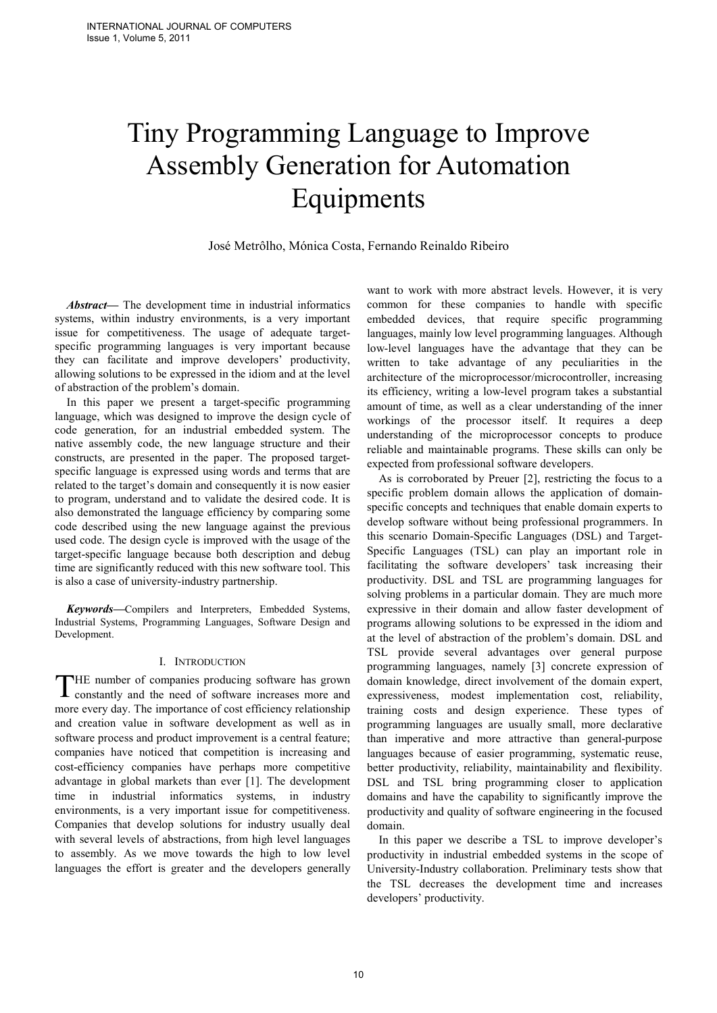# Tiny Programming Language to Improve Assembly Generation for Automation Equipments

José Metrôlho, Mónica Costa, Fernando Reinaldo Ribeiro

*Abstract***—** The development time in industrial informatics systems, within industry environments, is a very important issue for competitiveness. The usage of adequate targetspecific programming languages is very important because they can facilitate and improve developers' productivity, allowing solutions to be expressed in the idiom and at the level of abstraction of the problem's domain.

In this paper we present a target-specific programming language, which was designed to improve the design cycle of code generation, for an industrial embedded system. The native assembly code, the new language structure and their constructs, are presented in the paper. The proposed targetspecific language is expressed using words and terms that are related to the target's domain and consequently it is now easier to program, understand and to validate the desired code. It is also demonstrated the language efficiency by comparing some code described using the new language against the previous used code. The design cycle is improved with the usage of the target-specific language because both description and debug time are significantly reduced with this new software tool. This is also a case of university-industry partnership.

*Keywords***—**Compilers and Interpreters, Embedded Systems, Industrial Systems, Programming Languages, Software Design and Development.

# I. INTRODUCTION

HE number of companies producing software has grown THE number of companies producing software has grown constantly and the need of software increases more and more every day. The importance of cost efficiency relationship and creation value in software development as well as in software process and product improvement is a central feature; companies have noticed that competition is increasing and cost-efficiency companies have perhaps more competitive advantage in global markets than ever [1]. The development time in industrial informatics systems, in industry environments, is a very important issue for competitiveness. Companies that develop solutions for industry usually deal with several levels of abstractions, from high level languages to assembly. As we move towards the high to low level languages the effort is greater and the developers generally

want to work with more abstract levels. However, it is very common for these companies to handle with specific embedded devices, that require specific programming languages, mainly low level programming languages. Although low-level languages have the advantage that they can be written to take advantage of any peculiarities in the architecture of the microprocessor/microcontroller, increasing its efficiency, writing a low-level program takes a substantial amount of time, as well as a clear understanding of the inner workings of the processor itself. It requires a deep understanding of the microprocessor concepts to produce reliable and maintainable programs. These skills can only be expected from professional software developers.

As is corroborated by Preuer [2], restricting the focus to a specific problem domain allows the application of domainspecific concepts and techniques that enable domain experts to develop software without being professional programmers. In this scenario Domain-Specific Languages (DSL) and Target-Specific Languages (TSL) can play an important role in facilitating the software developers' task increasing their productivity. DSL and TSL are programming languages for solving problems in a particular domain. They are much more expressive in their domain and allow faster development of programs allowing solutions to be expressed in the idiom and at the level of abstraction of the problem's domain. DSL and TSL provide several advantages over general purpose programming languages, namely [3] concrete expression of domain knowledge, direct involvement of the domain expert, expressiveness, modest implementation cost, reliability, training costs and design experience. These types of programming languages are usually small, more declarative than imperative and more attractive than general-purpose languages because of easier programming, systematic reuse, better productivity, reliability, maintainability and flexibility. DSL and TSL bring programming closer to application domains and have the capability to significantly improve the productivity and quality of software engineering in the focused domain.

In this paper we describe a TSL to improve developer's productivity in industrial embedded systems in the scope of University-Industry collaboration. Preliminary tests show that the TSL decreases the development time and increases developers' productivity.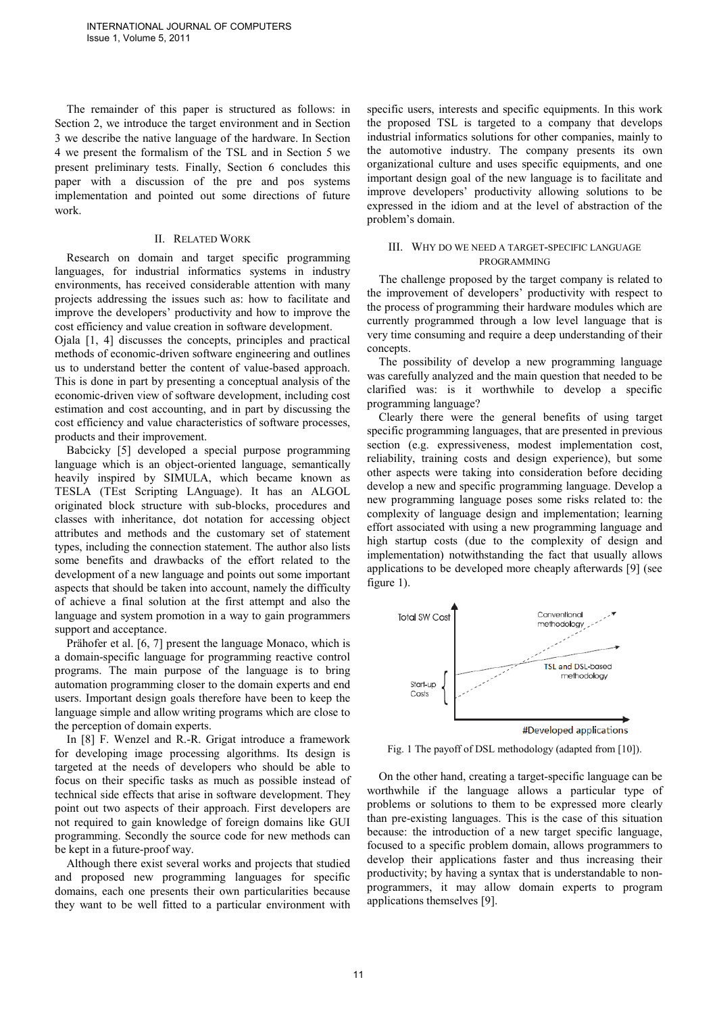The remainder of this paper is structured as follows: in Section 2, we introduce the target environment and in Section 3 we describe the native language of the hardware. In Section 4 we present the formalism of the TSL and in Section 5 we present preliminary tests. Finally, Section 6 concludes this paper with a discussion of the pre and pos systems implementation and pointed out some directions of future work.

### II. RELATED WORK

Research on domain and target specific programming languages, for industrial informatics systems in industry environments, has received considerable attention with many projects addressing the issues such as: how to facilitate and improve the developers' productivity and how to improve the cost efficiency and value creation in software development.

Ojala [1, 4] discusses the concepts, principles and practical methods of economic-driven software engineering and outlines us to understand better the content of value-based approach. This is done in part by presenting a conceptual analysis of the economic-driven view of software development, including cost estimation and cost accounting, and in part by discussing the cost efficiency and value characteristics of software processes, products and their improvement.

Babcicky [5] developed a special purpose programming language which is an object-oriented language, semantically heavily inspired by SIMULA, which became known as TESLA (TEst Scripting LAnguage). It has an ALGOL originated block structure with sub-blocks, procedures and classes with inheritance, dot notation for accessing object attributes and methods and the customary set of statement types, including the connection statement. The author also lists some benefits and drawbacks of the effort related to the development of a new language and points out some important aspects that should be taken into account, namely the difficulty of achieve a final solution at the first attempt and also the language and system promotion in a way to gain programmers support and acceptance.

Prähofer et al. [6, 7] present the language Monaco, which is a domain-specific language for programming reactive control programs. The main purpose of the language is to bring automation programming closer to the domain experts and end users. Important design goals therefore have been to keep the language simple and allow writing programs which are close to the perception of domain experts.

In [8] F. Wenzel and R.-R. Grigat introduce a framework for developing image processing algorithms. Its design is targeted at the needs of developers who should be able to focus on their specific tasks as much as possible instead of technical side effects that arise in software development. They point out two aspects of their approach. First developers are not required to gain knowledge of foreign domains like GUI programming. Secondly the source code for new methods can be kept in a future-proof way.

Although there exist several works and projects that studied and proposed new programming languages for specific domains, each one presents their own particularities because they want to be well fitted to a particular environment with specific users, interests and specific equipments. In this work the proposed TSL is targeted to a company that develops industrial informatics solutions for other companies, mainly to the automotive industry. The company presents its own organizational culture and uses specific equipments, and one important design goal of the new language is to facilitate and improve developers' productivity allowing solutions to be expressed in the idiom and at the level of abstraction of the problem's domain.

# III. WHY DO WE NEED A TARGET-SPECIFIC LANGUAGE PROGRAMMING

The challenge proposed by the target company is related to the improvement of developers' productivity with respect to the process of programming their hardware modules which are currently programmed through a low level language that is very time consuming and require a deep understanding of their concepts.

The possibility of develop a new programming language was carefully analyzed and the main question that needed to be clarified was: is it worthwhile to develop a specific programming language?

Clearly there were the general benefits of using target specific programming languages, that are presented in previous section (e.g. expressiveness, modest implementation cost, reliability, training costs and design experience), but some other aspects were taking into consideration before deciding develop a new and specific programming language. Develop a new programming language poses some risks related to: the complexity of language design and implementation; learning effort associated with using a new programming language and high startup costs (due to the complexity of design and implementation) notwithstanding the fact that usually allows applications to be developed more cheaply afterwards [9] (see figure 1).



Fig. 1 The payoff of DSL methodology (adapted from [10]).

On the other hand, creating a target-specific language can be worthwhile if the language allows a particular type of problems or solutions to them to be expressed more clearly than pre-existing languages. This is the case of this situation because: the introduction of a new target specific language, focused to a specific problem domain, allows programmers to develop their applications faster and thus increasing their productivity; by having a syntax that is understandable to nonprogrammers, it may allow domain experts to program applications themselves [9].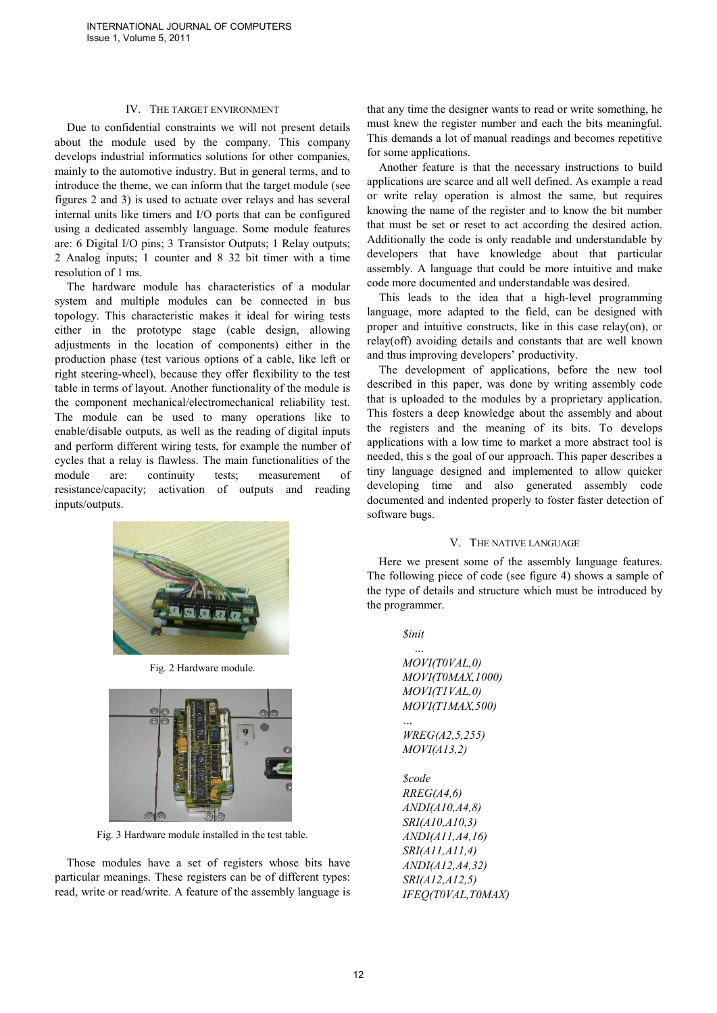## IV. THE TARGET ENVIRONMENT

Due to confidential constraints we will not present details about the module used by the company. This company develops industrial informatics solutions for other companies, mainly to the automotive industry. But in general terms, and to introduce the theme, we can inform that the target module (see figures 2 and 3) is used to actuate over relays and has several internal units like timers and I/O ports that can be configured using a dedicated assembly language. Some module features are: 6 Digital I/O pins; 3 Transistor Outputs; 1 Relay outputs; 2 Analog inputs; 1 counter and 8 32 bit timer with a time resolution of 1 ms.

The hardware module has characteristics of a modular system and multiple modules can be connected in bus topology. This characteristic makes it ideal for wiring tests either in the prototype stage (cable design, allowing adjustments in the location of components) either in the production phase (test various options of a cable, like left or right steering-wheel), because they offer flexibility to the test table in terms of layout. Another functionality of the module is the component mechanical/electromechanical reliability test. The module can be used to many operations like to enable/disable outputs, as well as the reading of digital inputs and perform different wiring tests, for example the number of cycles that a relay is flawless. The main functionalities of the module are: continuity tests; measurement of resistance/capacity; activation of outputs and reading inputs/outputs.



Fig. 2 Hardware module.



Fig. 3 Hardware module installed in the test table.

Those modules have a set of registers whose bits have particular meanings. These registers can be of different types: read, write or read/write. A feature of the assembly language is that any time the designer wants to read or write something, he must knew the register number and each the bits meaningful. This demands a lot of manual readings and becomes repetitive for some applications.

Another feature is that the necessary instructions to build applications are scarce and all well defined. As example a read or write relay operation is almost the same, but requires knowing the name of the register and to know the bit number that must be set or reset to act according the desired action. Additionally the code is only readable and understandable by developers that have knowledge about that particular assembly. A language that could be more intuitive and make code more documented and understandable was desired.

This leads to the idea that a high-level programming language, more adapted to the field, can be designed with proper and intuitive constructs, like in this case relay(on), or relay(off) avoiding details and constants that are well known and thus improving developers' productivity.

The development of applications, before the new tool described in this paper, was done by writing assembly code that is uploaded to the modules by a proprietary application. This fosters a deep knowledge about the assembly and about the registers and the meaning of its bits. To develops applications with a low time to market a more abstract tool is needed, this s the goal of our approach. This paper describes a tiny language designed and implemented to allow quicker developing time and also generated assembly code documented and indented properly to foster faster detection of software bugs.

#### V. THE NATIVE LANGUAGE

Here we present some of the assembly language features. The following piece of code (see figure 4) shows a sample of the type of details and structure which must be introduced by the programmer.

> *\$init …*

*MOVI(T0VAL,0) MOVI(T0MAX,1000) MOVI(T1VAL,0) MOVI(T1MAX,500)* 

*… WREG(A2,5,255) MOVI(A13,2)* 

*\$code RREG(A4,6) ANDI(A10,A4,8) SRI(A10,A10,3) ANDI(A11,A4,16) SRI(A11,A11,4) ANDI(A12,A4,32) SRI(A12,A12,5) IFEQ(T0VAL,T0MAX)*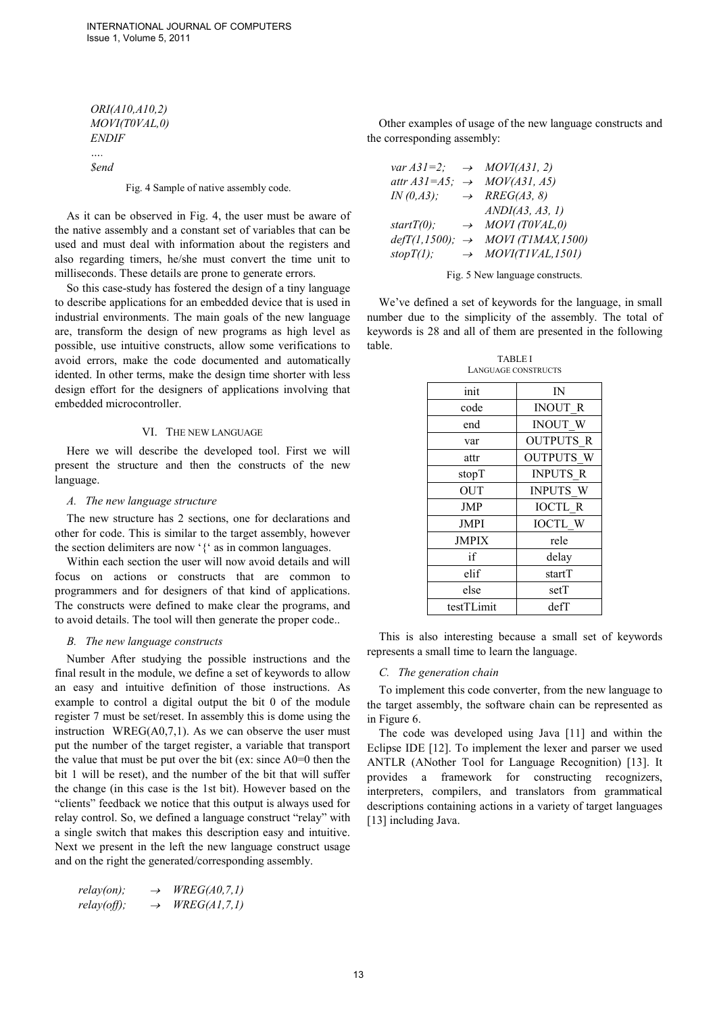*ORI(A10,A10,2) MOVI(T0VAL,0) ENDIF ….* 

*\$end* 

Fig. 4 Sample of native assembly code.

As it can be observed in Fig. 4, the user must be aware of the native assembly and a constant set of variables that can be used and must deal with information about the registers and also regarding timers, he/she must convert the time unit to milliseconds. These details are prone to generate errors.

So this case-study has fostered the design of a tiny language to describe applications for an embedded device that is used in industrial environments. The main goals of the new language are, transform the design of new programs as high level as possible, use intuitive constructs, allow some verifications to avoid errors, make the code documented and automatically idented. In other terms, make the design time shorter with less design effort for the designers of applications involving that embedded microcontroller.

# VI. THE NEW LANGUAGE

Here we will describe the developed tool. First we will present the structure and then the constructs of the new language.

#### *A. The new language structure*

The new structure has 2 sections, one for declarations and other for code. This is similar to the target assembly, however the section delimiters are now '{' as in common languages.

Within each section the user will now avoid details and will focus on actions or constructs that are common to programmers and for designers of that kind of applications. The constructs were defined to make clear the programs, and to avoid details. The tool will then generate the proper code..

## *B. The new language constructs*

Number After studying the possible instructions and the final result in the module, we define a set of keywords to allow an easy and intuitive definition of those instructions. As example to control a digital output the bit 0 of the module register 7 must be set/reset. In assembly this is dome using the instruction WREG $(A0,7,1)$ . As we can observe the user must put the number of the target register, a variable that transport the value that must be put over the bit (ex: since A0=0 then the bit 1 will be reset), and the number of the bit that will suffer the change (in this case is the 1st bit). However based on the "clients" feedback we notice that this output is always used for relay control. So, we defined a language construct "relay" with a single switch that makes this description easy and intuitive. Next we present in the left the new language construct usage and on the right the generated/corresponding assembly.

| $relay(on)$ ;         | $\rightarrow$ | WREG(A0, 7, 1) |
|-----------------------|---------------|----------------|
| $\text{relay}(off)$ ; | $\rightarrow$ | WREG(A1,7,1)   |

Other examples of usage of the new language constructs and the corresponding assembly:

| var $A31=2$ ; $\rightarrow$ MOVI(A31, 2)    |                                                 |
|---------------------------------------------|-------------------------------------------------|
| attr $A31= A5$ ; $\rightarrow$ MOV(A31, A5) |                                                 |
| IN(0, A3);                                  | $\rightarrow$ RREG(A3, 8)                       |
|                                             | ANDI(A3, A3, 1)                                 |
| $startT(0)$ ;                               | $\rightarrow$ MOVI (T0VAL,0)                    |
|                                             | $defT(1,1500);$ $\rightarrow$ MOVI (T1MAX,1500) |
| stopT(1);                                   | $\rightarrow$ MOVI(T1VAL, 1501)                 |

Fig. 5 New language constructs.

We've defined a set of keywords for the language, in small number due to the simplicity of the assembly. The total of keywords is 28 and all of them are presented in the following table.

TABLE I

| LANGUAGE CONSTRUCTS |                  |  |
|---------------------|------------------|--|
| init                | IN               |  |
| code                | <b>INOUT R</b>   |  |
| end                 | <b>INOUT W</b>   |  |
| var                 | <b>OUTPUTS R</b> |  |
| attr                | <b>OUTPUTS W</b> |  |
| stopT               | <b>INPUTS R</b>  |  |
| <b>OUT</b>          | <b>INPUTS W</b>  |  |
| <b>JMP</b>          | <b>IOCTL R</b>   |  |
| <b>JMPI</b>         | <b>IOCTL W</b>   |  |
| <b>JMPIX</b>        | rele             |  |
| if                  | delay            |  |
| elif                | startT           |  |
| else                | setT             |  |
| testTLimit          | defT             |  |

This is also interesting because a small set of keywords represents a small time to learn the language.

### *C. The generation chain*

To implement this code converter, from the new language to the target assembly, the software chain can be represented as in Figure 6.

The code was developed using Java [11] and within the Eclipse IDE [12]. To implement the lexer and parser we used ANTLR (ANother Tool for Language Recognition) [13]. It provides a framework for constructing recognizers, interpreters, compilers, and translators from grammatical descriptions containing actions in a variety of target languages [13] including Java.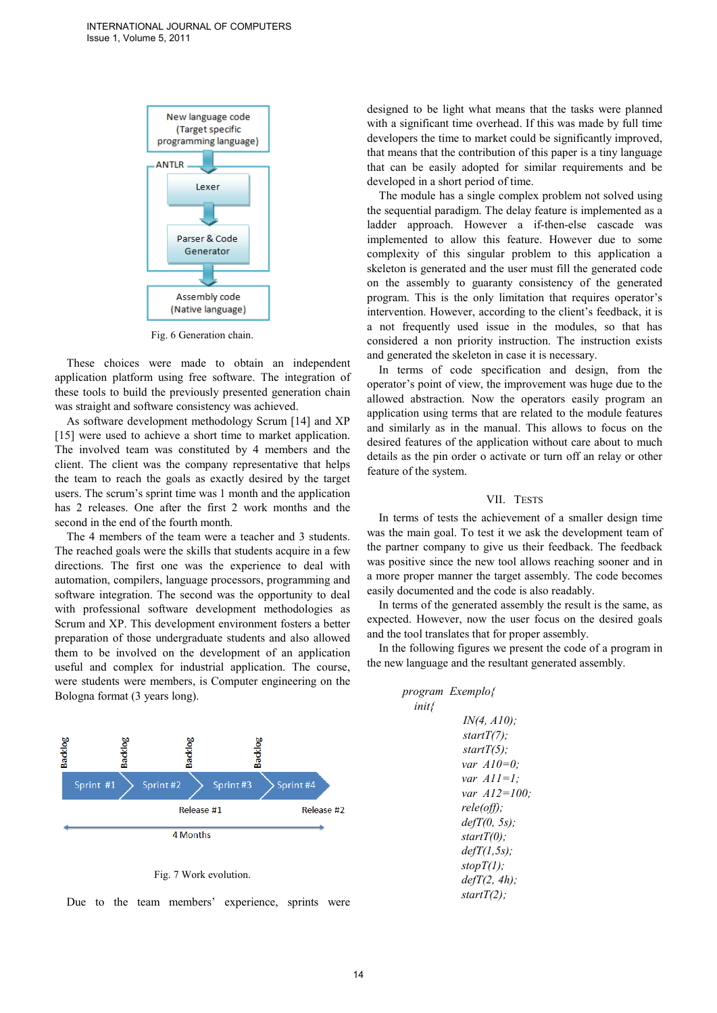

Fig. 6 Generation chain.

These choices were made to obtain an independent application platform using free software. The integration of these tools to build the previously presented generation chain was straight and software consistency was achieved.

As software development methodology Scrum [14] and XP [15] were used to achieve a short time to market application. The involved team was constituted by 4 members and the client. The client was the company representative that helps the team to reach the goals as exactly desired by the target users. The scrum's sprint time was 1 month and the application has 2 releases. One after the first 2 work months and the second in the end of the fourth month.

The 4 members of the team were a teacher and 3 students. The reached goals were the skills that students acquire in a few directions. The first one was the experience to deal with automation, compilers, language processors, programming and software integration. The second was the opportunity to deal with professional software development methodologies as Scrum and XP. This development environment fosters a better preparation of those undergraduate students and also allowed them to be involved on the development of an application useful and complex for industrial application. The course, were students were members, is Computer engineering on the Bologna format (3 years long).



Fig. 7 Work evolution.

Due to the team members' experience, sprints were

designed to be light what means that the tasks were planned with a significant time overhead. If this was made by full time developers the time to market could be significantly improved, that means that the contribution of this paper is a tiny language that can be easily adopted for similar requirements and be developed in a short period of time.

The module has a single complex problem not solved using the sequential paradigm. The delay feature is implemented as a ladder approach. However a if-then-else cascade was implemented to allow this feature. However due to some complexity of this singular problem to this application a skeleton is generated and the user must fill the generated code on the assembly to guaranty consistency of the generated program. This is the only limitation that requires operator's intervention. However, according to the client's feedback, it is a not frequently used issue in the modules, so that has considered a non priority instruction. The instruction exists and generated the skeleton in case it is necessary.

In terms of code specification and design, from the operator's point of view, the improvement was huge due to the allowed abstraction. Now the operators easily program an application using terms that are related to the module features and similarly as in the manual. This allows to focus on the desired features of the application without care about to much details as the pin order o activate or turn off an relay or other feature of the system.

#### VII. TESTS

In terms of tests the achievement of a smaller design time was the main goal. To test it we ask the development team of the partner company to give us their feedback. The feedback was positive since the new tool allows reaching sooner and in a more proper manner the target assembly. The code becomes easily documented and the code is also readably.

In terms of the generated assembly the result is the same, as expected. However, now the user focus on the desired goals and the tool translates that for proper assembly.

In the following figures we present the code of a program in the new language and the resultant generated assembly.

> *program Exemplo{ init{ IN(4, A10); startT(7); startT(5); var A10=0; var A11=1; var A12=100; rele(off); defT(0, 5s); startT(0); defT(1,5s); stopT(1); defT(2, 4h); startT(2);*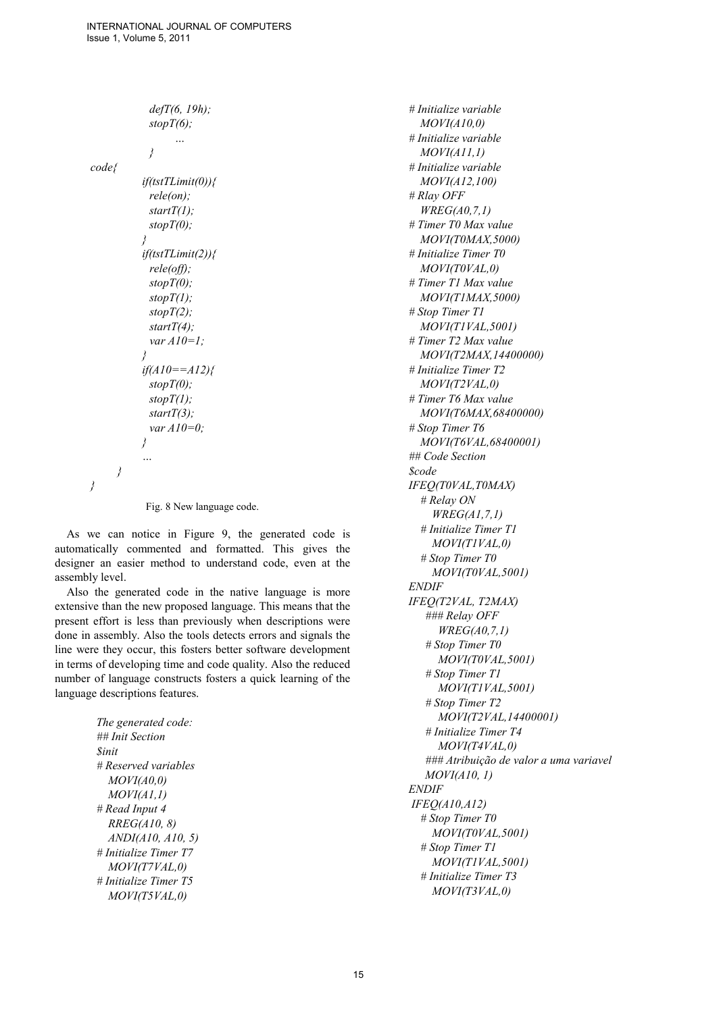```
 defT(6, 19h); 
                stopT(6); 
                     … 
                } 
code{ 
             if(tstTLimit(0)){ 
                rele(on); 
                startT(1); 
                stopT(0); 
             } 
             if(tstTLimit(2)){ 
               rele(off); 
               stopT(0); 
               stopT(1); 
               stopT(2); 
               startT(4); 
               var A10=1; 
             } 
             if(A10==A12){ 
                stopT(0); 
                stopT(1); 
                startT(3); 
                var A10=0; 
             } 
             … 
      } 
}
```

```
Fig. 8 New language code.
```
As we can notice in Figure 9, the generated code is automatically commented and formatted. This gives the designer an easier method to understand code, even at the assembly level.

Also the generated code in the native language is more extensive than the new proposed language. This means that the present effort is less than previously when descriptions were done in assembly. Also the tools detects errors and signals the line were they occur, this fosters better software development in terms of developing time and code quality. Also the reduced number of language constructs fosters a quick learning of the language descriptions features.

> *The generated code: ## Init Section \$init # Reserved variables MOVI(A0,0) MOVI(A1,1) # Read Input 4 RREG(A10, 8) ANDI(A10, A10, 5) # Initialize Timer T7 MOVI(T7VAL,0) # Initialize Timer T5 MOVI(T5VAL,0)*

*# Initialize variable MOVI(A10,0) # Initialize variable MOVI(A11,1) # Initialize variable MOVI(A12,100) # Rlay OFF WREG(A0,7,1) # Timer T0 Max value MOVI(T0MAX,5000) # Initialize Timer T0 MOVI(T0VAL,0) # Timer T1 Max value MOVI(T1MAX,5000) # Stop Timer T1 MOVI(T1VAL,5001) # Timer T2 Max value MOVI(T2MAX,14400000) # Initialize Timer T2 MOVI(T2VAL,0) # Timer T6 Max value MOVI(T6MAX,68400000) # Stop Timer T6 MOVI(T6VAL,68400001) ## Code Section \$code IFEQ(T0VAL,T0MAX) # Relay ON WREG(A1,7,1) # Initialize Timer T1 MOVI(T1VAL,0) # Stop Timer T0 MOVI(T0VAL,5001) ENDIF IFEQ(T2VAL, T2MAX) ### Relay OFF WREG(A0,7,1) # Stop Timer T0 MOVI(T0VAL,5001) # Stop Timer T1 MOVI(T1VAL,5001) # Stop Timer T2 MOVI(T2VAL,14400001) # Initialize Timer T4 MOVI(T4VAL,0) ### Atribuição de valor a uma variavel MOVI(A10, 1) ENDIF IFEQ(A10,A12) # Stop Timer T0 MOVI(T0VAL,5001) # Stop Timer T1 MOVI(T1VAL,5001) # Initialize Timer T3 MOVI(T3VAL,0)*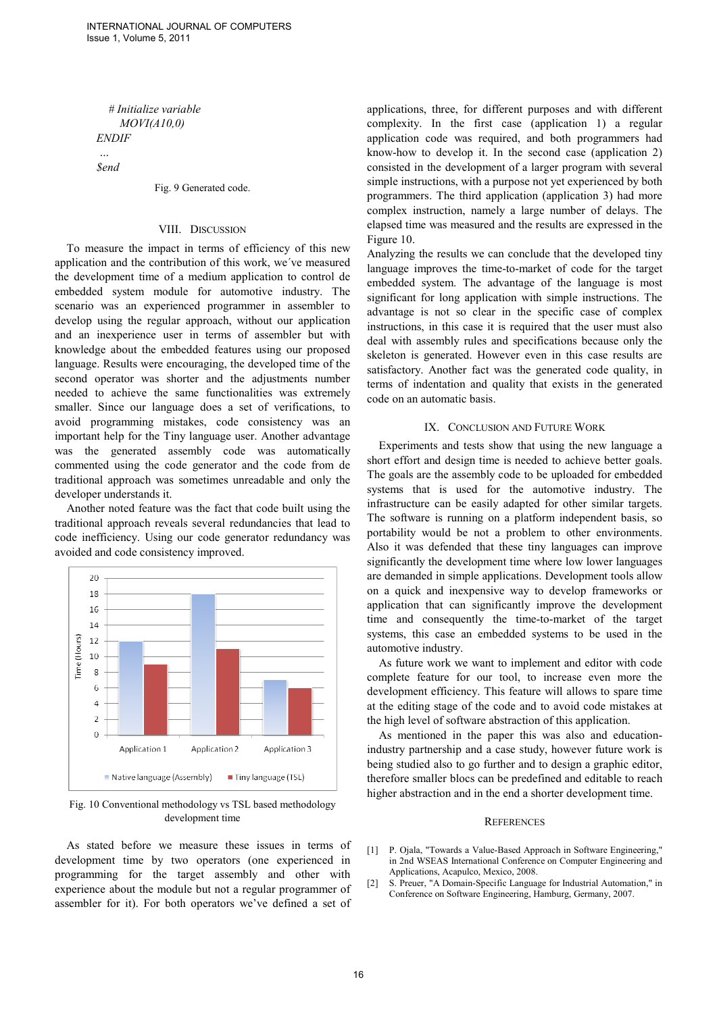*# Initialize variable MOVI(A10,0) ENDIF* 

 *… \$end* 

#### Fig. 9 Generated code.

# VIII. DISCUSSION

To measure the impact in terms of efficiency of this new application and the contribution of this work, we´ve measured the development time of a medium application to control de embedded system module for automotive industry. The scenario was an experienced programmer in assembler to develop using the regular approach, without our application and an inexperience user in terms of assembler but with knowledge about the embedded features using our proposed language. Results were encouraging, the developed time of the second operator was shorter and the adjustments number needed to achieve the same functionalities was extremely smaller. Since our language does a set of verifications, to avoid programming mistakes, code consistency was an important help for the Tiny language user. Another advantage was the generated assembly code was automatically commented using the code generator and the code from de traditional approach was sometimes unreadable and only the developer understands it.

Another noted feature was the fact that code built using the traditional approach reveals several redundancies that lead to code inefficiency. Using our code generator redundancy was avoided and code consistency improved.



Fig. 10 Conventional methodology vs TSL based methodology development time

As stated before we measure these issues in terms of development time by two operators (one experienced in programming for the target assembly and other with experience about the module but not a regular programmer of assembler for it). For both operators we've defined a set of applications, three, for different purposes and with different complexity. In the first case (application 1) a regular application code was required, and both programmers had know-how to develop it. In the second case (application 2) consisted in the development of a larger program with several simple instructions, with a purpose not yet experienced by both programmers. The third application (application 3) had more complex instruction, namely a large number of delays. The elapsed time was measured and the results are expressed in the Figure 10.

Analyzing the results we can conclude that the developed tiny language improves the time-to-market of code for the target embedded system. The advantage of the language is most significant for long application with simple instructions. The advantage is not so clear in the specific case of complex instructions, in this case it is required that the user must also deal with assembly rules and specifications because only the skeleton is generated. However even in this case results are satisfactory. Another fact was the generated code quality, in terms of indentation and quality that exists in the generated code on an automatic basis.

# IX. CONCLUSION AND FUTURE WORK

Experiments and tests show that using the new language a short effort and design time is needed to achieve better goals. The goals are the assembly code to be uploaded for embedded systems that is used for the automotive industry. The infrastructure can be easily adapted for other similar targets. The software is running on a platform independent basis, so portability would be not a problem to other environments. Also it was defended that these tiny languages can improve significantly the development time where low lower languages are demanded in simple applications. Development tools allow on a quick and inexpensive way to develop frameworks or application that can significantly improve the development time and consequently the time-to-market of the target systems, this case an embedded systems to be used in the automotive industry.

As future work we want to implement and editor with code complete feature for our tool, to increase even more the development efficiency. This feature will allows to spare time at the editing stage of the code and to avoid code mistakes at the high level of software abstraction of this application.

As mentioned in the paper this was also and educationindustry partnership and a case study, however future work is being studied also to go further and to design a graphic editor, therefore smaller blocs can be predefined and editable to reach higher abstraction and in the end a shorter development time.

## **REFERENCES**

- [1] P. Ojala, "Towards a Value-Based Approach in Software Engineering," in 2nd WSEAS International Conference on Computer Engineering and Applications, Acapulco, Mexico, 2008.
- [2] S. Preuer, "A Domain-Specific Language for Industrial Automation," in Conference on Software Engineering, Hamburg, Germany, 2007.